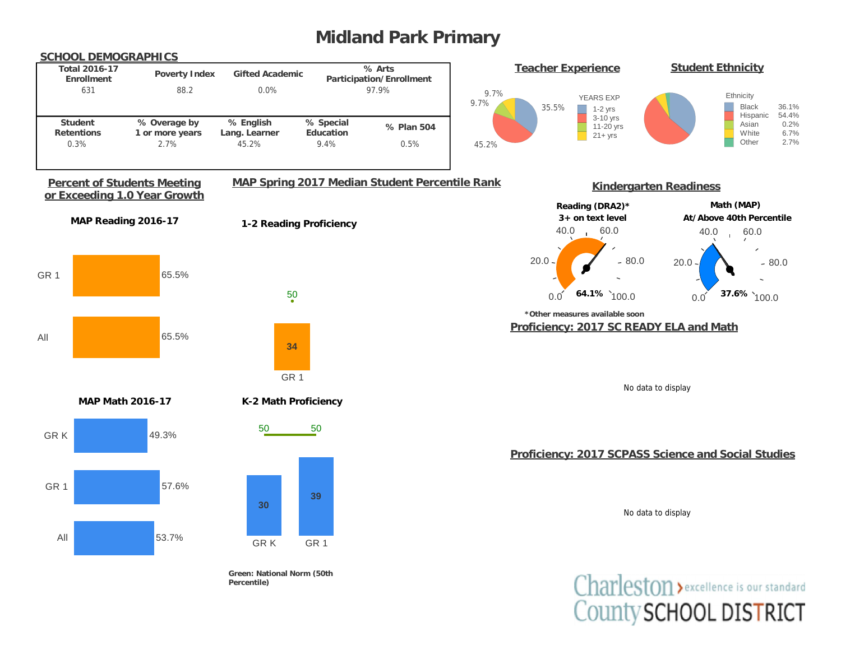# **Midland Park Primary**



County SCHOOL DISTRICT